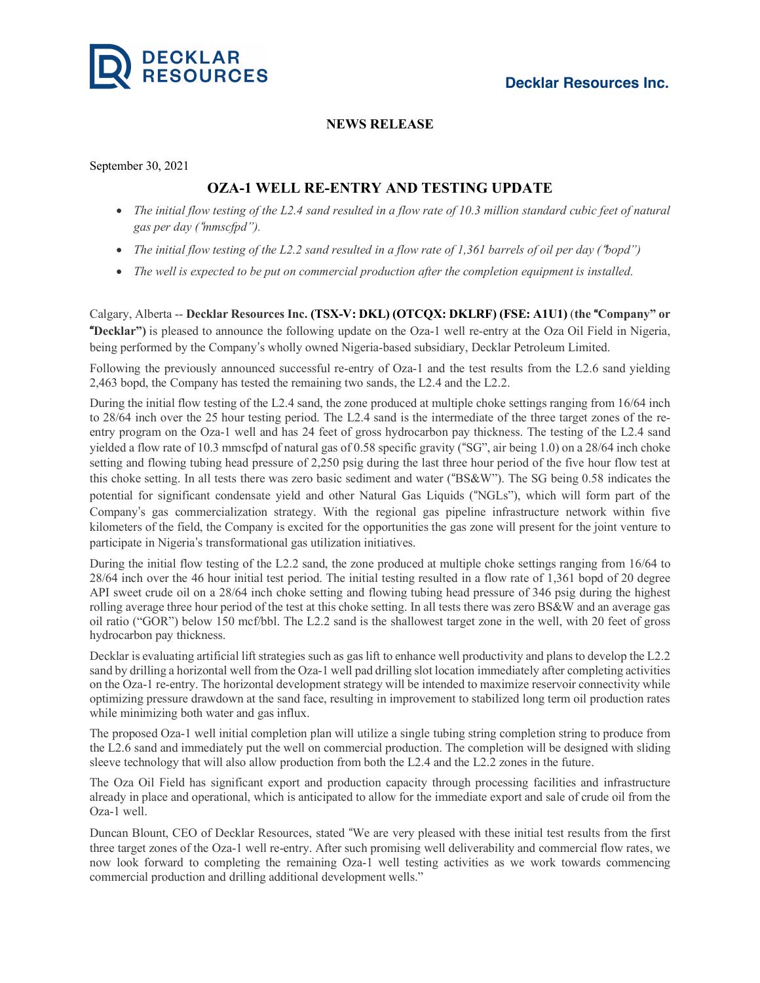

## **NEWS RELEASE**

September 30, 2021

## **OZA-1 WELL RE-ENTRY AND TESTING UPDATE**

- The initial flow testing of the L2.4 sand resulted in a flow rate of 10.3 million standard cubic feet of natural *gas per day (*!*mmscfpd").*
- The initial flow testing of the L2.2 sand resulted in a flow rate of 1,361 barrels of oil per day ("bopd")
- *The well is expected to be put on commercial production after the completion equipment is installed.*

Calgary, Alberta -- **Decklar Resources Inc. (TSX-V: DKL) (OTCQX: DKLRF) (FSE: A1U1)** (**the** !**Company" or** !**Decklar")** is pleased to announce the following update on the Oza-1 well re-entry at the Oza Oil Field in Nigeria, being performed by the Company"s wholly owned Nigeria-based subsidiary, Decklar Petroleum Limited.

Following the previously announced successful re-entry of Oza-1 and the test results from the L2.6 sand yielding 2,463 bopd, the Company has tested the remaining two sands, the L2.4 and the L2.2.

During the initial flow testing of the L2.4 sand, the zone produced at multiple choke settings ranging from 16/64 inch to 28/64 inch over the 25 hour testing period. The L2.4 sand is the intermediate of the three target zones of the reentry program on the Oza-1 well and has 24 feet of gross hydrocarbon pay thickness. The testing of the L2.4 sand yielded a flow rate of 10.3 mmscfpd of natural gas of 0.58 specific gravity ("SG", air being 1.0) on a 28/64 inch choke setting and flowing tubing head pressure of 2,250 psig during the last three hour period of the five hour flow test at this choke setting. In all tests there was zero basic sediment and water ("BS&W"). The SG being 0.58 indicates the potential for significant condensate yield and other Natural Gas Liquids ("NGLs"), which will form part of the Company"s gas commercialization strategy. With the regional gas pipeline infrastructure network within five kilometers of the field, the Company is excited for the opportunities the gas zone will present for the joint venture to participate in Nigeria"s transformational gas utilization initiatives.

During the initial flow testing of the L2.2 sand, the zone produced at multiple choke settings ranging from 16/64 to 28/64 inch over the 46 hour initial test period. The initial testing resulted in a flow rate of 1,361 bopd of 20 degree API sweet crude oil on a 28/64 inch choke setting and flowing tubing head pressure of 346 psig during the highest rolling average three hour period of the test at this choke setting. In all tests there was zero BS&W and an average gas oil ratio ("GOR") below 150 mcf/bbl. The L2.2 sand is the shallowest target zone in the well, with 20 feet of gross hydrocarbon pay thickness.

Decklar is evaluating artificial lift strategies such as gas lift to enhance well productivity and plans to develop the L2.2 sand by drilling a horizontal well from the Oza-1 well pad drilling slot location immediately after completing activities on the Oza-1 re-entry. The horizontal development strategy will be intended to maximize reservoir connectivity while optimizing pressure drawdown at the sand face, resulting in improvement to stabilized long term oil production rates while minimizing both water and gas influx.

The proposed Oza-1 well initial completion plan will utilize a single tubing string completion string to produce from the L2.6 sand and immediately put the well on commercial production. The completion will be designed with sliding sleeve technology that will also allow production from both the L2.4 and the L2.2 zones in the future.

The Oza Oil Field has significant export and production capacity through processing facilities and infrastructure already in place and operational, which is anticipated to allow for the immediate export and sale of crude oil from the Oza-1 well.

Duncan Blount, CEO of Decklar Resources, stated "We are very pleased with these initial test results from the first three target zones of the Oza-1 well re-entry. After such promising well deliverability and commercial flow rates, we now look forward to completing the remaining Oza-1 well testing activities as we work towards commencing commercial production and drilling additional development wells."